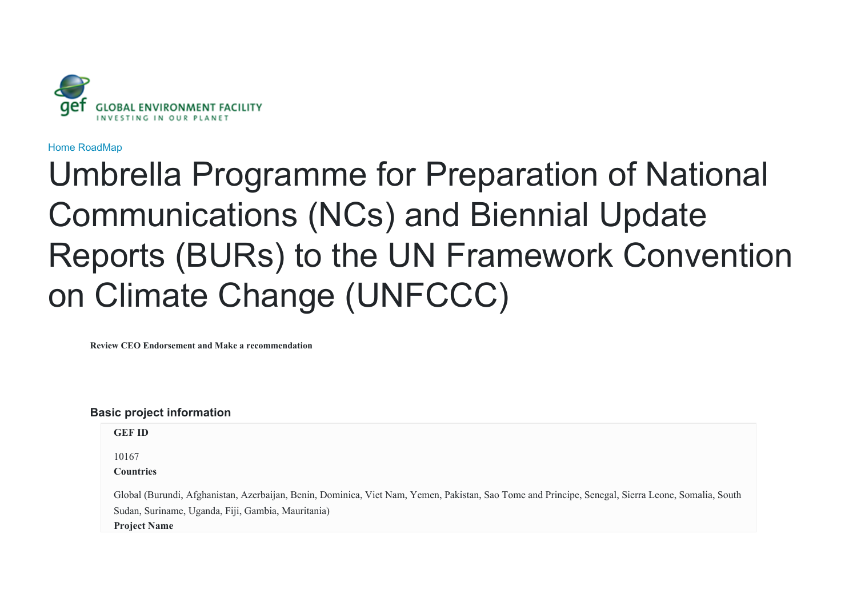

[Home](javascript:void(0)) [RoadMap](javascript:void(0))

# Umbrella Programme for Preparation of National Communications (NCs) and Biennial Update Reports (BURs) to the UN Framework Convention on Climate Change (UNFCCC)

**Review CEO Endorsement and Make a recommendation**

# **Basic project information**

| <b>GEF ID</b>                                                                                                                                      |
|----------------------------------------------------------------------------------------------------------------------------------------------------|
| 10167                                                                                                                                              |
| <b>Countries</b>                                                                                                                                   |
| Global (Burundi, Afghanistan, Azerbaijan, Benin, Dominica, Viet Nam, Yemen, Pakistan, Sao Tome and Principe, Senegal, Sierra Leone, Somalia, South |
| Sudan, Suriname, Uganda, Fiji, Gambia, Mauritania)                                                                                                 |
| <b>Project Name</b>                                                                                                                                |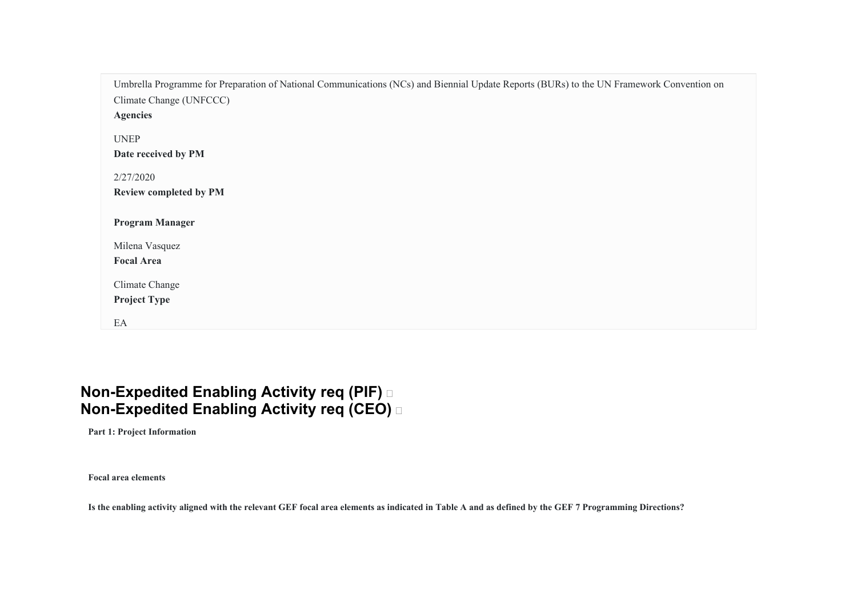| Umbrella Programme for Preparation of National Communications (NCs) and Biennial Update Reports (BURs) to the UN Framework Convention on |
|------------------------------------------------------------------------------------------------------------------------------------------|
| Climate Change (UNFCCC)                                                                                                                  |
| <b>Agencies</b>                                                                                                                          |
| <b>UNEP</b>                                                                                                                              |
| Date received by PM                                                                                                                      |
|                                                                                                                                          |
| 2/27/2020                                                                                                                                |
| <b>Review completed by PM</b>                                                                                                            |
| <b>Program Manager</b>                                                                                                                   |
| Milena Vasquez                                                                                                                           |
| <b>Focal Area</b>                                                                                                                        |
|                                                                                                                                          |
| Climate Change                                                                                                                           |
| <b>Project Type</b>                                                                                                                      |
| EA                                                                                                                                       |

# **Non-Expedited Enabling Activity req (PIF) Non-Expedited Enabling Activity req (CEO)**

**Part 1: Project Information** 

**Focal area elements** 

**Is the enabling activity aligned with the relevant GEF focal area elements as indicated in Table A and as defined by the GEF 7 Programming Directions?**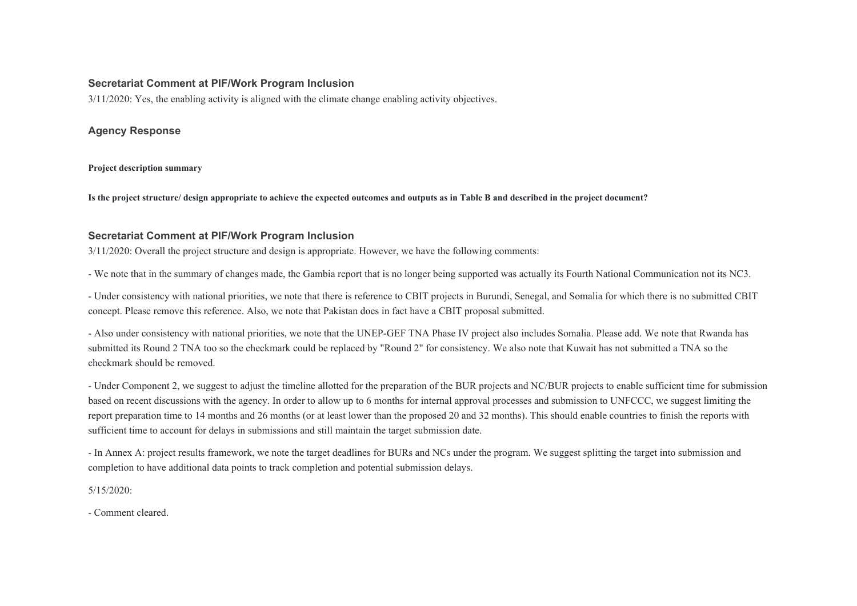#### **Secretariat Comment at PIF/Work Program Inclusion**

3/11/2020: Yes, the enabling activity is aligned with the climate change enabling activity objectives.

#### **Agency Response**

**Project description summary** 

**Is the project structure/ design appropriate to achieve the expected outcomes and outputs as in Table B and described in the project document?** 

#### **Secretariat Comment at PIF/Work Program Inclusion**

3/11/2020: Overall the project structure and design is appropriate. However, we have the following comments:

- We note that in the summary of changes made, the Gambia report that is no longer being supported was actually its Fourth National Communication not its NC3.

- Under consistency with national priorities, we note that there is reference to CBIT projects in Burundi, Senegal, and Somalia for which there is no submitted CBIT concept. Please remove this reference. Also, we note that Pakistan does in fact have a CBIT proposal submitted.

- Also under consistency with national priorities, we note that the UNEP-GEF TNA Phase IV project also includes Somalia. Please add. We note that Rwanda has submitted its Round 2 TNA too so the checkmark could be replaced by "Round 2" for consistency. We also note that Kuwait has not submitted a TNA so the checkmark should be removed.

- Under Component 2, we suggest to adjust the timeline allotted for the preparation of the BUR projects and NC/BUR projects to enable sufficient time for submission based on recent discussions with the agency. In order to allow up to 6 months for internal approval processes and submission to UNFCCC, we suggest limiting the report preparation time to 14 months and 26 months (or at least lower than the proposed 20 and 32 months). This should enable countries to finish the reports with sufficient time to account for delays in submissions and still maintain the target submission date.

- In Annex A: project results framework, we note the target deadlines for BURs and NCs under the program. We suggest splitting the target into submission and completion to have additional data points to track completion and potential submission delays.

5/15/2020:

- Comment cleared.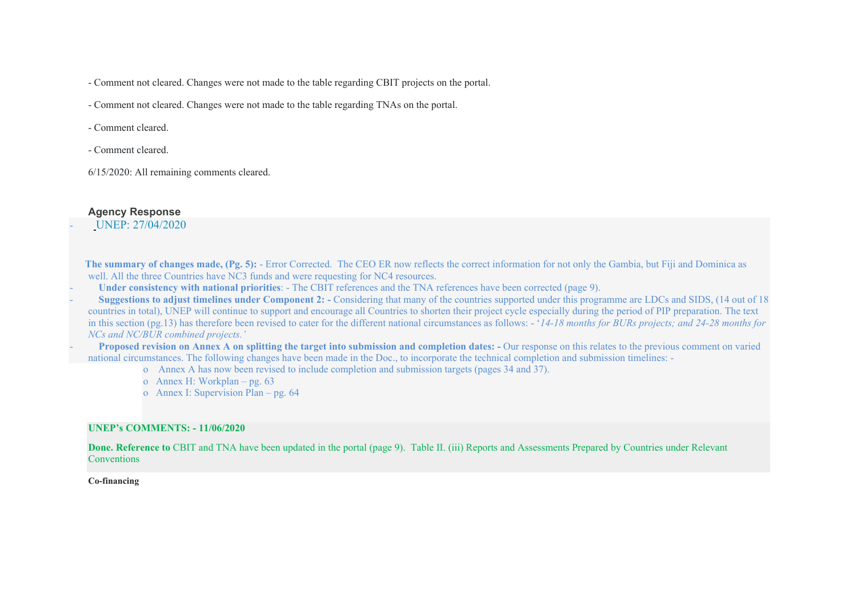- Comment not cleared. Changes were not made to the table regarding CBIT projects on the portal.

- Comment not cleared. Changes were not made to the table regarding TNAs on the portal.

- Comment cleared.

- Comment cleared.

6/15/2020: All remaining comments cleared.

# **Agency Response**

- [UNEP: 27/04/2020](unep:27/04/2020)

 **The summary of changes made, (Pg. 5):** - Error Corrected. The CEO ER now reflects the correct information for not only the Gambia, but Fiji and Dominica as well. All the three Countries have NC3 funds and were requesting for NC4 resources.

- **Under consistency with national priorities**: - The CBIT references and the TNA references have been corrected (page 9).

**Suggestions to adjust timelines under Component 2:** - Considering that many of the countries supported under this programme are LDCs and SIDS, (14 out of 18) countries in total), UNEP will continue to support and encourage all Countries to shorten their project cycle especially during the period of PIP preparation. The text in this section (pg.13) has therefore been revised to cater for the different national circumstances as follows: - '*14-18 months for BURs projects; and 24-28 months for NCs and NC/BUR combined projects.'*

**Proposed revision on Annex A on splitting the target into submission and completion dates:** - Our response on this relates to the previous comment on varied national circumstances. The following changes have been made in the Doc., to incorporate the technical completion and submission timelines: -

o Annex A has now been revised to include completion and submission targets (pages 34 and 37).

- o Annex H: Workplan pg. 63
- o Annex I: Supervision Plan pg. 64

### **UNEP's COMMENTS: - 11/06/2020**

**Done. Reference to** CBIT and TNA have been updated in the portal (page 9). Table II. (iii) Reports and Assessments Prepared by Countries under Relevant Conventions

#### **Co-financing**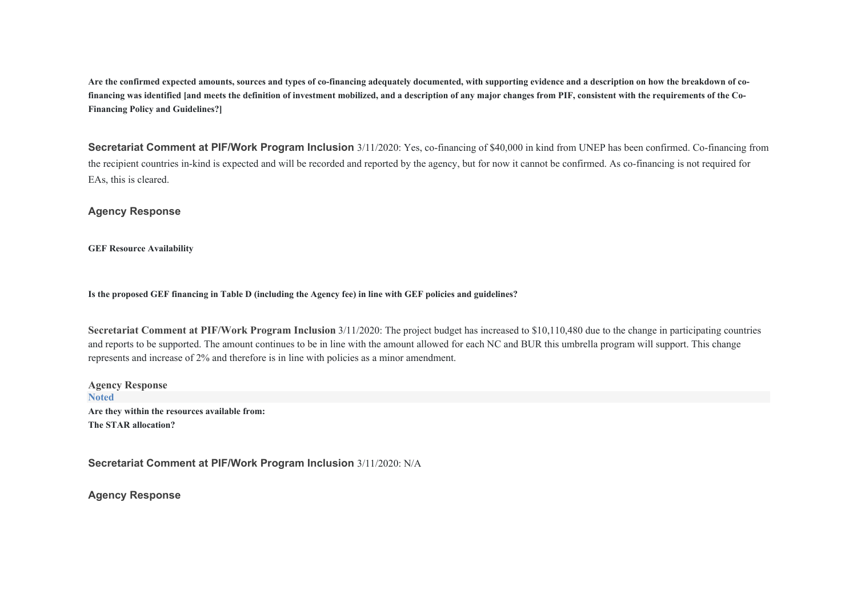**Are the confirmed expected amounts, sources and types of co-financing adequately documented, with supporting evidence and a description on how the breakdown of cofinancing was identified [and meets the definition of investment mobilized, and a description of any major changes from PIF, consistent with the requirements of the Co-Financing Policy and Guidelines?]** 

**Secretariat Comment at PIF/Work Program Inclusion** 3/11/2020: Yes, co-financing of \$40,000 in kind from UNEP has been confirmed. Co-financing from the recipient countries in-kind is expected and will be recorded and reported by the agency, but for now it cannot be confirmed. As co-financing is not required for EAs, this is cleared.

**Agency Response**

**GEF Resource Availability** 

**Is the proposed GEF financing in Table D (including the Agency fee) in line with GEF policies and guidelines?** 

**Secretariat Comment at PIF/Work Program Inclusion** 3/11/2020: The project budget has increased to \$10,110,480 due to the change in participating countries and reports to be supported. The amount continues to be in line with the amount allowed for each NC and BUR this umbrella program will support. This change represents and increase of 2% and therefore is in line with policies as a minor amendment.

**Agency Response Noted Are they within the resources available from: The STAR allocation?**

**Secretariat Comment at PIF/Work Program Inclusion** 3/11/2020: N/A

**Agency Response**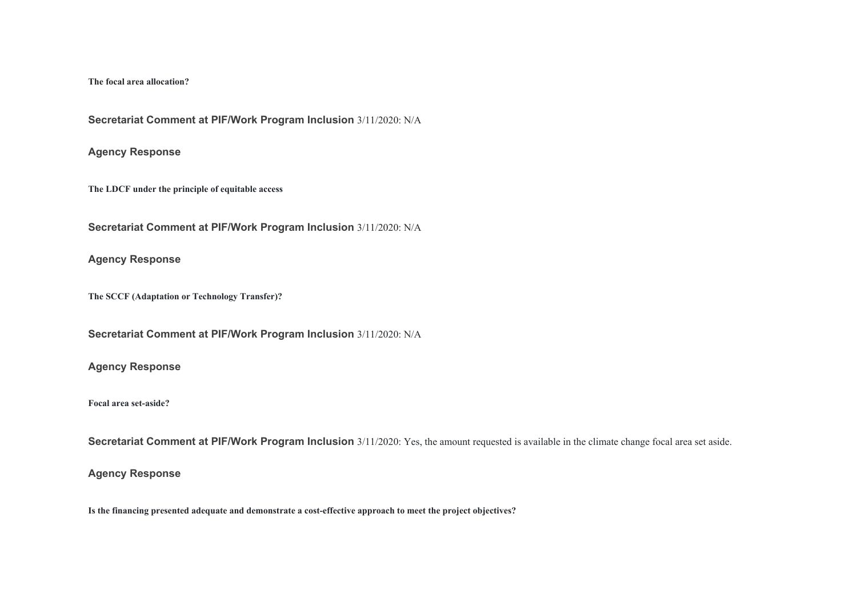#### **The focal area allocation?**

**Secretariat Comment at PIF/Work Program Inclusion** 3/11/2020: N/A

#### **Agency Response**

**The LDCF under the principle of equitable access** 

**Secretariat Comment at PIF/Work Program Inclusion** 3/11/2020: N/A

## **Agency Response**

**The SCCF (Adaptation or Technology Transfer)?** 

**Secretariat Comment at PIF/Work Program Inclusion** 3/11/2020: N/A

#### **Agency Response**

#### **Focal area set-aside?**

**Secretariat Comment at PIF/Work Program Inclusion** 3/11/2020: Yes, the amount requested is available in the climate change focal area set aside.

#### **Agency Response**

**Is the financing presented adequate and demonstrate a cost-effective approach to meet the project objectives?**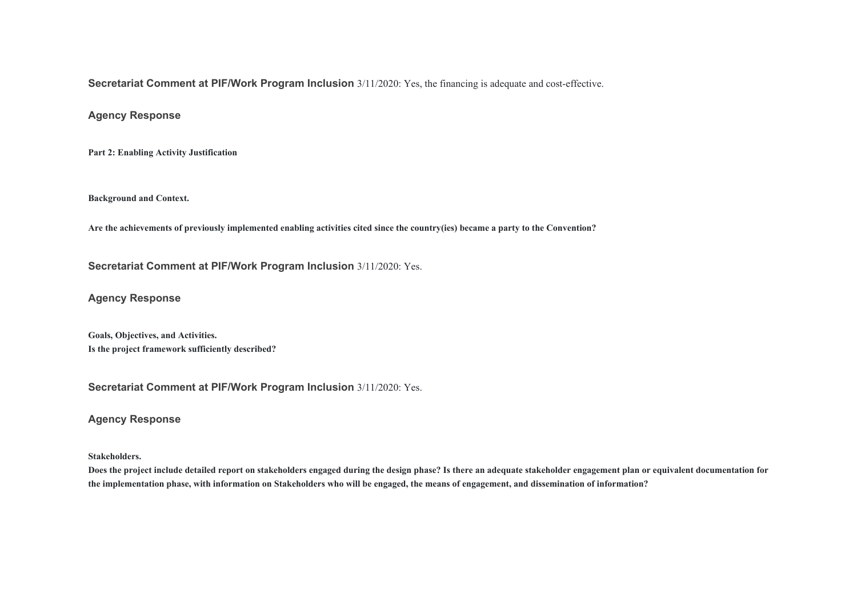**Secretariat Comment at PIF/Work Program Inclusion** 3/11/2020: Yes, the financing is adequate and cost-effective.

**Agency Response**

**Part 2: Enabling Activity Justification** 

**Background and Context.** 

**Are the achievements of previously implemented enabling activities cited since the country(ies) became a party to the Convention?** 

**Secretariat Comment at PIF/Work Program Inclusion** 3/11/2020: Yes.

**Agency Response**

**Goals, Objectives, and Activities. Is the project framework sufficiently described?** 

**Secretariat Comment at PIF/Work Program Inclusion** 3/11/2020: Yes.

**Agency Response**

**Stakeholders.** 

**Does the project include detailed report on stakeholders engaged during the design phase? Is there an adequate stakeholder engagement plan or equivalent documentation for the implementation phase, with information on Stakeholders who will be engaged, the means of engagement, and dissemination of information?**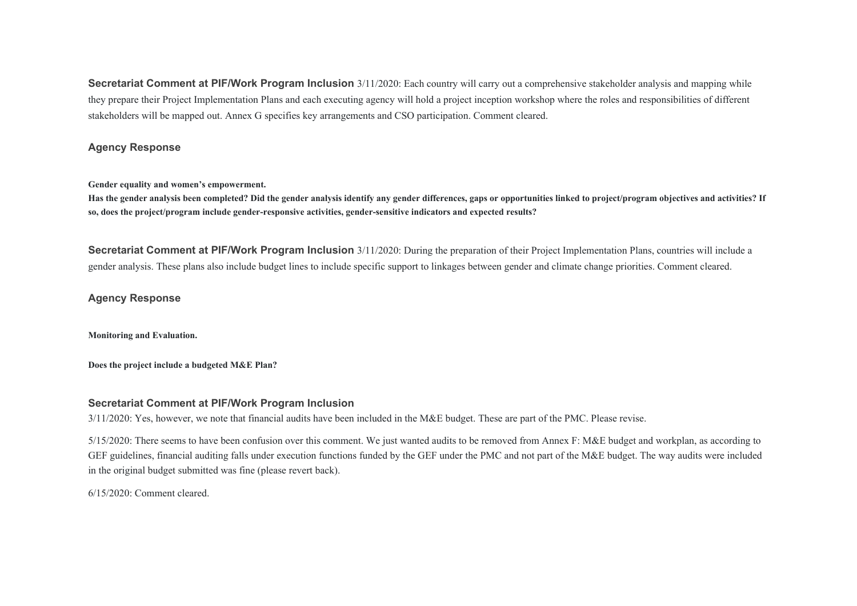**Secretariat Comment at PIF/Work Program Inclusion** 3/11/2020: Each country will carry out a comprehensive stakeholder analysis and mapping while they prepare their Project Implementation Plans and each executing agency will hold a project inception workshop where the roles and responsibilities of different stakeholders will be mapped out. Annex G specifies key arrangements and CSO participation. Comment cleared.

#### **Agency Response**

**Gender equality and women's empowerment.**

**Has the gender analysis been completed? Did the gender analysis identify any gender differences, gaps or opportunities linked to project/program objectives and activities? If so, does the project/program include gender-responsive activities, gender-sensitive indicators and expected results?** 

**Secretariat Comment at PIF/Work Program Inclusion**  $3/11/2020$ : During the preparation of their Project Implementation Plans, countries will include a gender analysis. These plans also include budget lines to include specific support to linkages between gender and climate change priorities. Comment cleared.

#### **Agency Response**

**Monitoring and Evaluation.** 

**Does the project include a budgeted M&E Plan?** 

#### **Secretariat Comment at PIF/Work Program Inclusion**

3/11/2020: Yes, however, we note that financial audits have been included in the M&E budget. These are part of the PMC. Please revise.

5/15/2020: There seems to have been confusion over this comment. We just wanted audits to be removed from Annex F: M&E budget and workplan, as according to GEF guidelines, financial auditing falls under execution functions funded by the GEF under the PMC and not part of the M&E budget. The way audits were included in the original budget submitted was fine (please revert back).

6/15/2020: Comment cleared.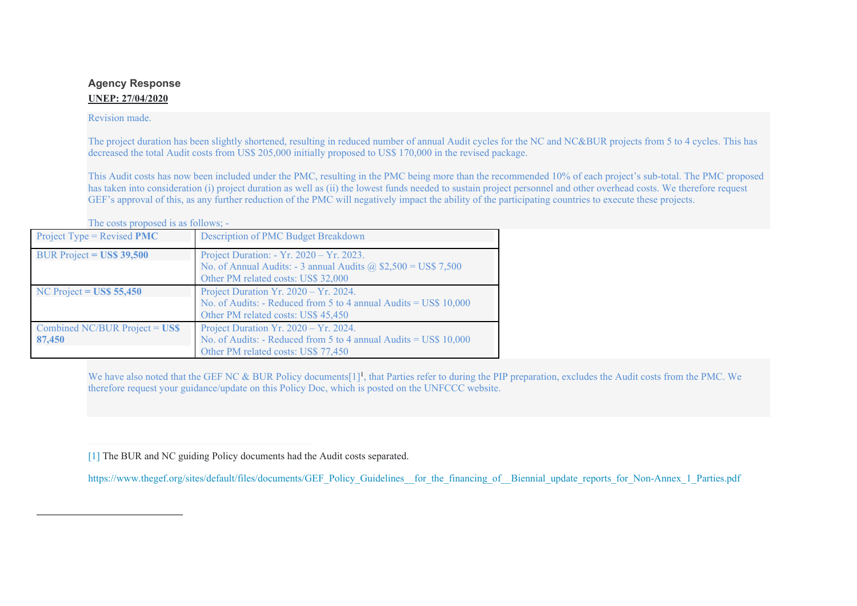# **Agency Response UNEP: 27/04/2020**

#### Revision made.

The project duration has been slightly shortened, resulting in reduced number of annual Audit cycles for the NC and NC&BUR projects from 5 to 4 cycles. This has decreased the total Audit costs from US\$ 205,000 initially proposed to US\$ 170,000 in the revised package.

This Audit costs has now been included under the PMC, resulting in the PMC being more than the recommended 10% of each project's sub-total. The PMC proposed has taken into consideration (i) project duration as well as (ii) the lowest funds needed to sustain project personnel and other overhead costs. We therefore request GEF's approval of this, as any further reduction of the PMC will negatively impact the ability of the participating countries to execute these projects.

The costs proposed is as follows; -

| Project Type = Revised $PMC$                     | Description of PMC Budget Breakdown                                                                                                                        |  |
|--------------------------------------------------|------------------------------------------------------------------------------------------------------------------------------------------------------------|--|
| BUR Project = $\text{USS } 39,500$               | Project Duration: - Yr. 2020 – Yr. 2023.<br>No. of Annual Audits: - 3 annual Audits $\omega$ , \$2,500 = US\$ 7,500<br>Other PM related costs: US\$ 32,000 |  |
| NC Project = $\text{USS } 55,450$                | Project Duration Yr. 2020 - Yr. 2024.<br>No. of Audits: - Reduced from 5 to 4 annual Audits = US\$ 10,000<br>Other PM related costs: US\$ 45,450           |  |
| Combined NC/BUR Project = $\text{USS}$<br>87,450 | Project Duration Yr. 2020 - Yr. 2024.<br>No. of Audits: - Reduced from 5 to 4 annual Audits = US\$ 10,000<br>Other PM related costs: US\$ 77,450           |  |

We have also noted that the GEF NC & BUR Policy documents[1]<sup>1</sup>, that Parties refer to during the PIP preparation, excludes the Audit costs from the PMC. We therefore request your guidance/update on this Policy Doc, which is posted on the UNFCCC website.

https://www.thegef.org/sites/default/files/documents/GEF\_Policy\_Guidelines\_for\_the\_financing\_of\_\_Biennial\_update\_reports\_for\_Non-Annex\_1\_Parties.pdf

[<sup>\[1\]</sup>](file:///C:/9th%20Umbrella/Submission%20to%20the%20GEF_2020/GEF%20-%20Resubmission%20March_16.2020/GEFID10167_Response%20to%20Comments%2003-16-2020.docx#_ftnref1) The BUR and NC guiding Policy documents had the Audit costs separated.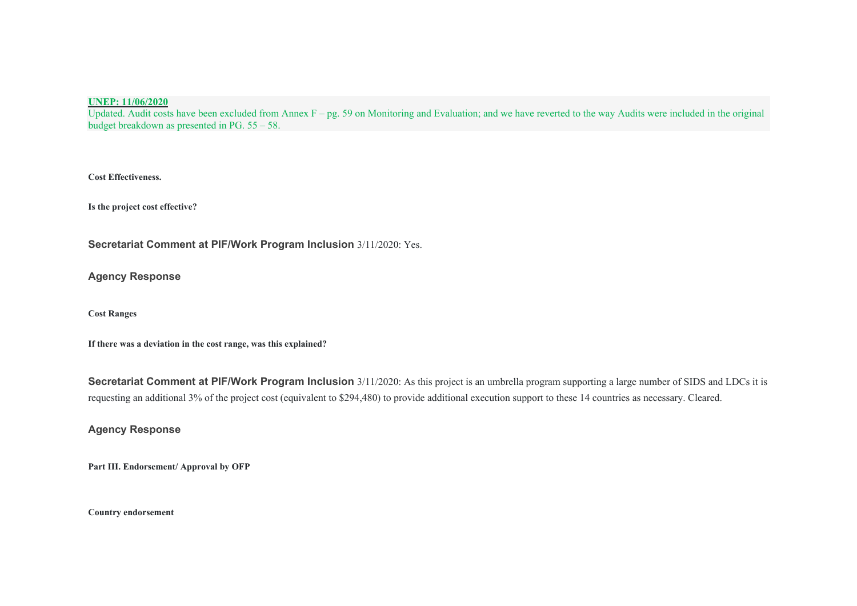#### **UNEP: 11/06/2020**

Updated. Audit costs have been excluded from Annex  $F - pg$ . 59 on Monitoring and Evaluation; and we have reverted to the way Audits were included in the original budget breakdown as presented in PG. 55 – 58.

**Cost Effectiveness.** 

**Is the project cost effective?** 

**Secretariat Comment at PIF/Work Program Inclusion** 3/11/2020: Yes.

**Agency Response**

**Cost Ranges** 

**If there was a deviation in the cost range, was this explained?** 

**Secretariat Comment at PIF/Work Program Inclusion** 3/11/2020: As this project is an umbrella program supporting a large number of SIDS and LDCs it is requesting an additional 3% of the project cost (equivalent to \$294,480) to provide additional execution support to these 14 countries as necessary. Cleared.

**Agency Response**

**Part III. Endorsement/ Approval by OFP** 

**Country endorsement**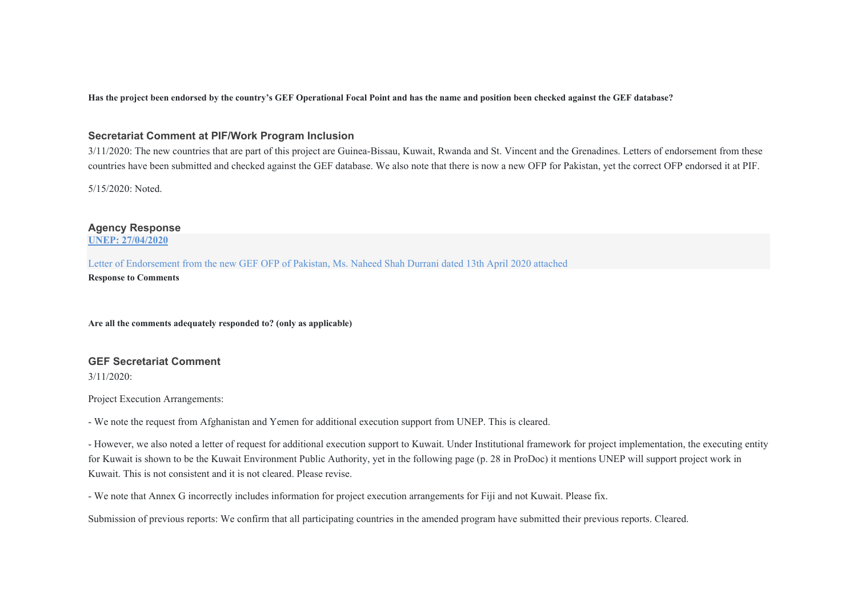**Has the project been endorsed by the country's GEF Operational Focal Point and has the name and position been checked against the GEF database?** 

#### **Secretariat Comment at PIF/Work Program Inclusion**

3/11/2020: The new countries that are part of this project are Guinea-Bissau, Kuwait, Rwanda and St. Vincent and the Grenadines. Letters of endorsement from these countries have been submitted and checked against the GEF database. We also note that there is now a new OFP for Pakistan, yet the correct OFP endorsed it at PIF.

5/15/2020: Noted.

**Agency Response UNEP: 27/04/2020**

Letter of Endorsement from the new GEF OFP of Pakistan, Ms. Naheed Shah Durrani dated 13th April 2020 attached

**Response to Comments** 

**Are all the comments adequately responded to? (only as applicable)** 

# **GEF Secretariat Comment**

3/11/2020:

Project Execution Arrangements:

- We note the request from Afghanistan and Yemen for additional execution support from UNEP. This is cleared.

- However, we also noted a letter of request for additional execution support to Kuwait. Under Institutional framework for project implementation, the executing entity for Kuwait is shown to be the Kuwait Environment Public Authority, yet in the following page (p. 28 in ProDoc) it mentions UNEP will support project work in Kuwait. This is not consistent and it is not cleared. Please revise.

- We note that Annex G incorrectly includes information for project execution arrangements for Fiji and not Kuwait. Please fix.

Submission of previous reports: We confirm that all participating countries in the amended program have submitted their previous reports. Cleared.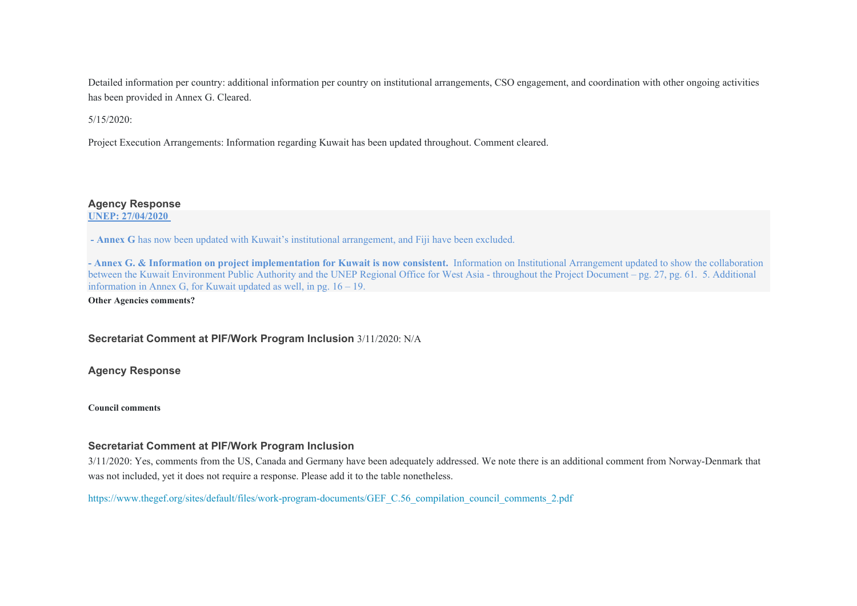Detailed information per country: additional information per country on institutional arrangements, CSO engagement, and coordination with other ongoing activities has been provided in Annex G. Cleared.

5/15/2020:

Project Execution Arrangements: Information regarding Kuwait has been updated throughout. Comment cleared.

#### **Agency Response**

**UNEP: 27/04/2020** 

 **- Annex G** has now been updated with Kuwait's institutional arrangement, and Fiji have been excluded.

**- Annex G. & Information on project implementation for Kuwait is now consistent.** Information on Institutional Arrangement updated to show the collaboration between the Kuwait Environment Public Authority and the UNEP Regional Office for West Asia - throughout the Project Document – pg. 27, pg. 61. 5. Additional information in Annex G, for Kuwait updated as well, in pg. 16 – 19.

**Other Agencies comments?** 

**Secretariat Comment at PIF/Work Program Inclusion** 3/11/2020: N/A

**Agency Response**

**Council comments** 

#### **Secretariat Comment at PIF/Work Program Inclusion**

3/11/2020: Yes, comments from the US, Canada and Germany have been adequately addressed. We note there is an additional comment from Norway-Denmark that was not included, yet it does not require a response. Please add it to the table nonetheless.

[https://www.thegef.org/sites/default/files/work-program-documents/GEF\\_C.56\\_compilation\\_council\\_comments\\_2.pdf](https://www.thegef.org/sites/default/files/work-program-documents/GEF_C.56_compilation_council_comments_2.pdf)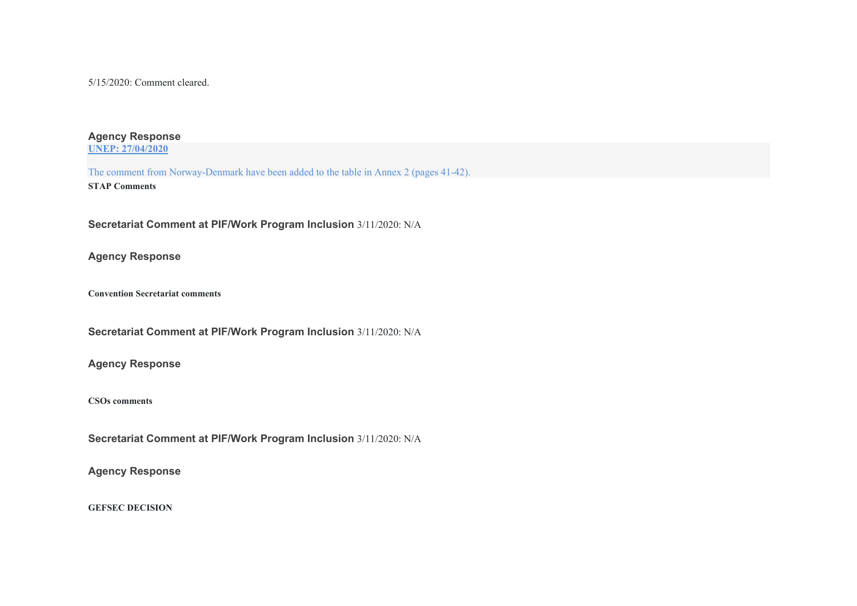5/15/2020: Comment cleared.

#### **Agency Response UNEP: 27/04/2020**

The comment from Norway-Denmark have been added to the table in Annex 2 (pages 41-42). **STAP Comments** 

**Secretariat Comment at PIF/Work Program Inclusion** 3/11/2020: N/A

**Agency Response**

**Convention Secretariat comments** 

**Secretariat Comment at PIF/Work Program Inclusion** 3/11/2020: N/A

**Agency Response**

**CSOs comments** 

**Secretariat Comment at PIF/Work Program Inclusion** 3/11/2020: N/A

**Agency Response**

**GEFSEC DECISION**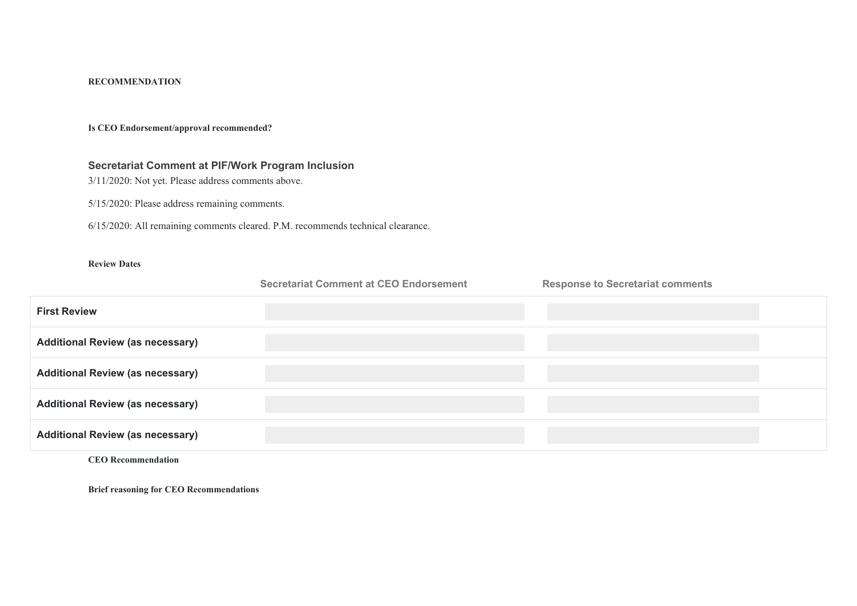#### **RECOMMENDATION**

#### **Is CEO Endorsement/approval recommended?**

# **Secretariat Comment at PIF/Work Program Inclusion**

3/11/2020: Not yet. Please address comments above.

5/15/2020: Please address remaining comments.

6/15/2020: All remaining comments cleared. P.M. recommends technical clearance.

#### **Review Dates**

|                                         | <b>Secretariat Comment at CEO Endorsement</b> | <b>Response to Secretariat comments</b> |
|-----------------------------------------|-----------------------------------------------|-----------------------------------------|
| <b>First Review</b>                     |                                               |                                         |
| <b>Additional Review (as necessary)</b> |                                               |                                         |
| <b>Additional Review (as necessary)</b> |                                               |                                         |
| <b>Additional Review (as necessary)</b> |                                               |                                         |
| <b>Additional Review (as necessary)</b> |                                               |                                         |

**CEO Recommendation** 

**Brief reasoning for CEO Recommendations**